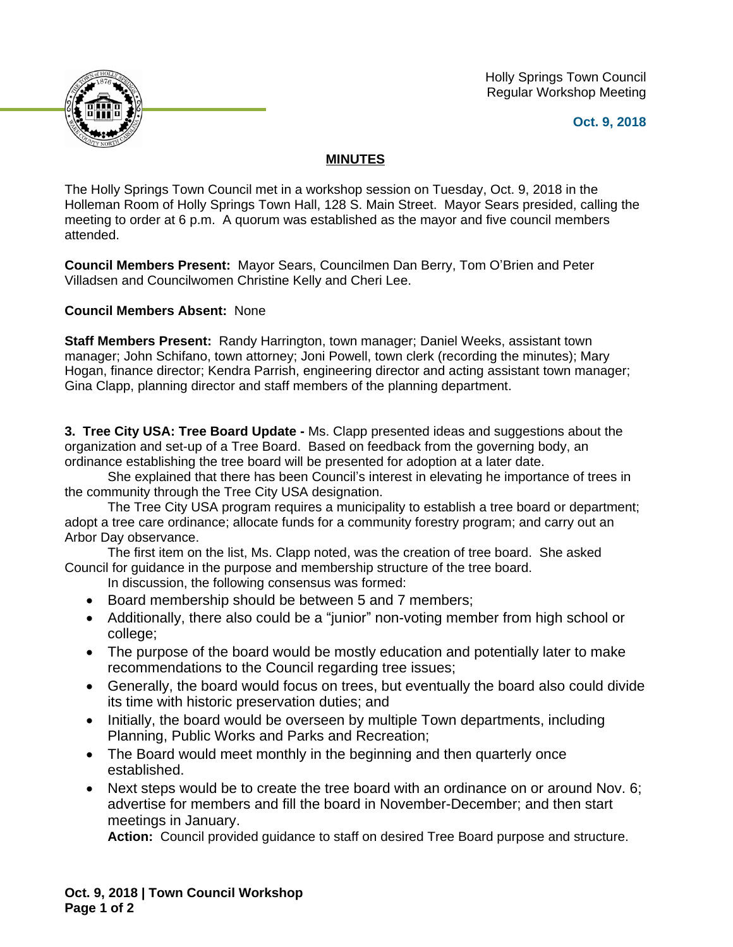



**Oct. 9, 2018**

## **MINUTES**

The Holly Springs Town Council met in a workshop session on Tuesday, Oct. 9, 2018 in the Holleman Room of Holly Springs Town Hall, 128 S. Main Street. Mayor Sears presided, calling the meeting to order at 6 p.m. A quorum was established as the mayor and five council members attended.

**Council Members Present:** Mayor Sears, Councilmen Dan Berry, Tom O'Brien and Peter Villadsen and Councilwomen Christine Kelly and Cheri Lee.

**Council Members Absent:** None

**Staff Members Present:** Randy Harrington, town manager; Daniel Weeks, assistant town manager; John Schifano, town attorney; Joni Powell, town clerk (recording the minutes); Mary Hogan, finance director; Kendra Parrish, engineering director and acting assistant town manager; Gina Clapp, planning director and staff members of the planning department.

**3. Tree City USA: Tree Board Update -** Ms. Clapp presented ideas and suggestions about the organization and set-up of a Tree Board. Based on feedback from the governing body, an ordinance establishing the tree board will be presented for adoption at a later date.

She explained that there has been Council's interest in elevating he importance of trees in the community through the Tree City USA designation.

The Tree City USA program requires a municipality to establish a tree board or department; adopt a tree care ordinance; allocate funds for a community forestry program; and carry out an Arbor Day observance.

The first item on the list, Ms. Clapp noted, was the creation of tree board. She asked Council for guidance in the purpose and membership structure of the tree board.

In discussion, the following consensus was formed:

- Board membership should be between 5 and 7 members;
- Additionally, there also could be a "junior" non-voting member from high school or college;
- The purpose of the board would be mostly education and potentially later to make recommendations to the Council regarding tree issues;
- Generally, the board would focus on trees, but eventually the board also could divide its time with historic preservation duties; and
- Initially, the board would be overseen by multiple Town departments, including Planning, Public Works and Parks and Recreation;
- The Board would meet monthly in the beginning and then quarterly once established.
- Next steps would be to create the tree board with an ordinance on or around Nov. 6; advertise for members and fill the board in November-December; and then start meetings in January.

**Action:** Council provided guidance to staff on desired Tree Board purpose and structure.

**Oct. 9, 2018 | Town Council Workshop Page 1 of 2**